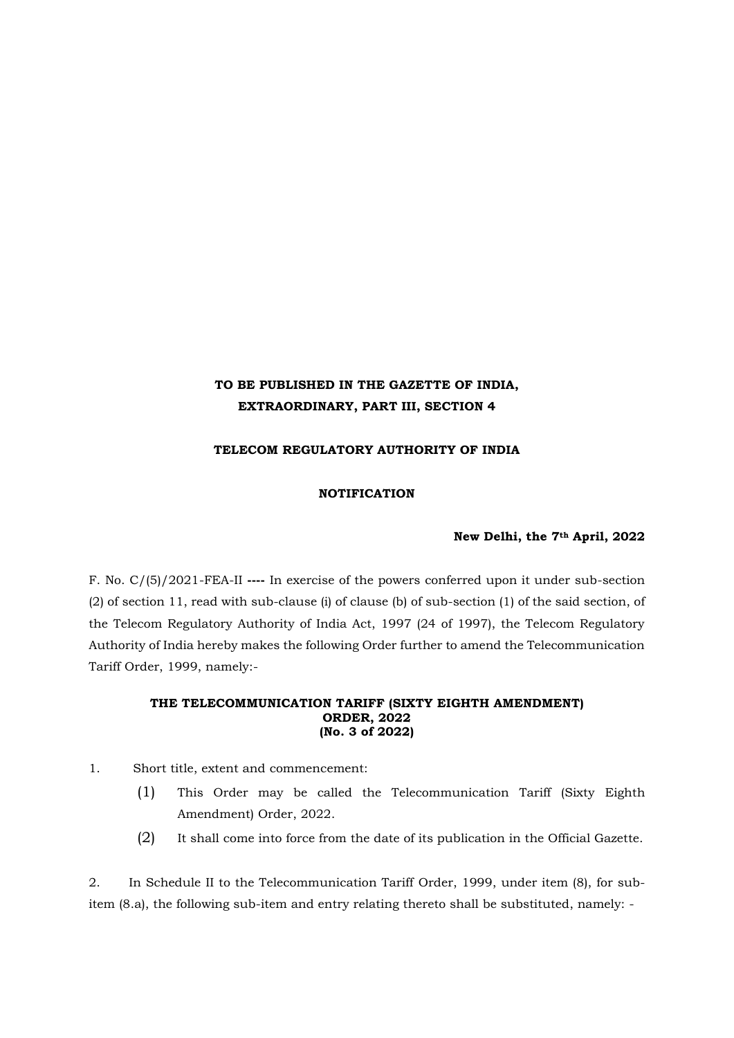# **TO BE PUBLISHED IN THE GAZETTE OF INDIA, EXTRAORDINARY, PART III, SECTION 4**

## **TELECOM REGULATORY AUTHORITY OF INDIA**

### **NOTIFICATION**

#### **New Delhi, the 7th April, 2022**

F. No. C/(5)/2021-FEA-II **----** In exercise of the powers conferred upon it under sub-section (2) of section 11, read with sub-clause (i) of clause (b) of sub-section (1) of the said section, of the Telecom Regulatory Authority of India Act, 1997 (24 of 1997), the Telecom Regulatory Authority of India hereby makes the following Order further to amend the Telecommunication Tariff Order, 1999, namely:-

#### **THE TELECOMMUNICATION TARIFF (SIXTY EIGHTH AMENDMENT) ORDER, 2022 (No. 3 of 2022)**

- 1. Short title, extent and commencement:
	- (1) This Order may be called the Telecommunication Tariff (Sixty Eighth Amendment) Order, 2022.
	- (2) It shall come into force from the date of its publication in the Official Gazette.

2. In Schedule II to the Telecommunication Tariff Order, 1999, under item (8), for subitem (8.a), the following sub-item and entry relating thereto shall be substituted, namely: -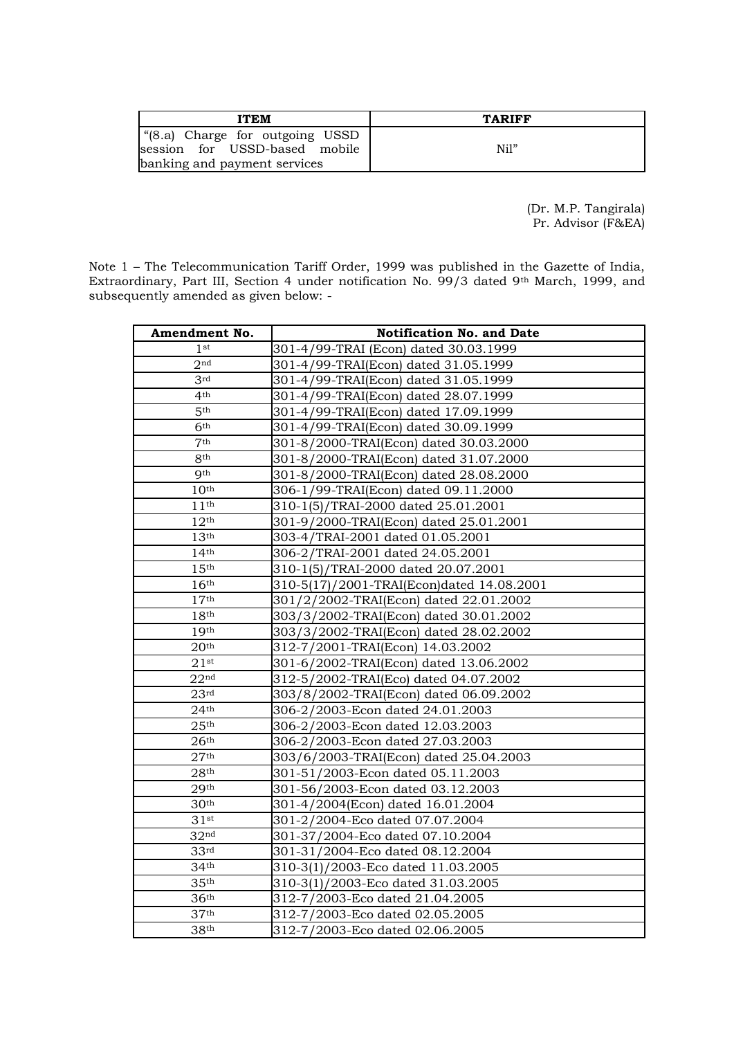| <b>ITEM</b>                                                                                     | <b>TARIFF</b> |
|-------------------------------------------------------------------------------------------------|---------------|
| (8.a) Charge for outgoing USSD<br>session for USSD-based mobile<br>banking and payment services | Nil"          |

(Dr. M.P. Tangirala) Pr. Advisor (F&EA)

Note 1 – The Telecommunication Tariff Order, 1999 was published in the Gazette of India, Extraordinary, Part III, Section 4 under notification No. 99/3 dated 9th March, 1999, and subsequently amended as given below: -

| Amendment No.    | <b>Notification No. and Date</b>          |
|------------------|-------------------------------------------|
| 1 <sub>st</sub>  | 301-4/99-TRAI (Econ) dated 30.03.1999     |
| 2 <sub>nd</sub>  | 301-4/99-TRAI(Econ) dated 31.05.1999      |
| 3 <sup>rd</sup>  | 301-4/99-TRAI(Econ) dated 31.05.1999      |
| 4 <sup>th</sup>  | 301-4/99-TRAI(Econ) dated 28.07.1999      |
| 5 <sup>th</sup>  | 301-4/99-TRAI(Econ) dated 17.09.1999      |
| 6 <sup>th</sup>  | 301-4/99-TRAI(Econ) dated 30.09.1999      |
| 7 <sup>th</sup>  | 301-8/2000-TRAI(Econ) dated 30.03.2000    |
| 8 <sup>th</sup>  | 301-8/2000-TRAI(Econ) dated 31.07.2000    |
| <b>Oth</b>       | 301-8/2000-TRAI(Econ) dated 28.08.2000    |
| 10 <sup>th</sup> | 306-1/99-TRAI(Econ) dated 09.11.2000      |
| 11 <sup>th</sup> | 310-1(5)/TRAI-2000 dated 25.01.2001       |
| 12 <sup>th</sup> | 301-9/2000-TRAI(Econ) dated 25.01.2001    |
| 13 <sup>th</sup> | 303-4/TRAI-2001 dated 01.05.2001          |
| 14 <sup>th</sup> | 306-2/TRAI-2001 dated 24.05.2001          |
| 15 <sup>th</sup> | 310-1(5)/TRAI-2000 dated 20.07.2001       |
| 16 <sup>th</sup> | 310-5(17)/2001-TRAI(Econ)dated 14.08.2001 |
| 17 <sup>th</sup> | 301/2/2002-TRAI(Econ) dated 22.01.2002    |
| 18 <sup>th</sup> | 303/3/2002-TRAI(Econ) dated 30.01.2002    |
| 19 <sup>th</sup> | 303/3/2002-TRAI(Econ) dated 28.02.2002    |
| 20 <sup>th</sup> | 312-7/2001-TRAI(Econ) 14.03.2002          |
| $21$ st          | 301-6/2002-TRAI(Econ) dated 13.06.2002    |
| 22 <sup>nd</sup> | 312-5/2002-TRAI(Eco) dated 04.07.2002     |
| 23 <sup>rd</sup> | 303/8/2002-TRAI(Econ) dated 06.09.2002    |
| 24 <sup>th</sup> | 306-2/2003-Econ dated 24.01.2003          |
| 25 <sup>th</sup> | 306-2/2003-Econ dated 12.03.2003          |
| 26 <sup>th</sup> | 306-2/2003-Econ dated 27.03.2003          |
| 27 <sup>th</sup> | 303/6/2003-TRAI(Econ) dated 25.04.2003    |
| 28 <sup>th</sup> | 301-51/2003-Econ dated 05.11.2003         |
| 29 <sup>th</sup> | 301-56/2003-Econ dated 03.12.2003         |
| 30 <sup>th</sup> | 301-4/2004(Econ) dated 16.01.2004         |
| $31$ st          | 301-2/2004-Eco dated 07.07.2004           |
| 32 <sup>nd</sup> | 301-37/2004-Eco dated 07.10.2004          |
| 33 <sup>rd</sup> | 301-31/2004-Eco dated 08.12.2004          |
| 34 <sup>th</sup> | 310-3(1)/2003-Eco dated 11.03.2005        |
| 35 <sup>th</sup> | 310-3(1)/2003-Eco dated 31.03.2005        |
| 36 <sup>th</sup> | 312-7/2003-Eco dated 21.04.2005           |
| 37 <sup>th</sup> | 312-7/2003-Eco dated 02.05.2005           |
| 38 <sup>th</sup> | 312-7/2003-Eco dated 02.06.2005           |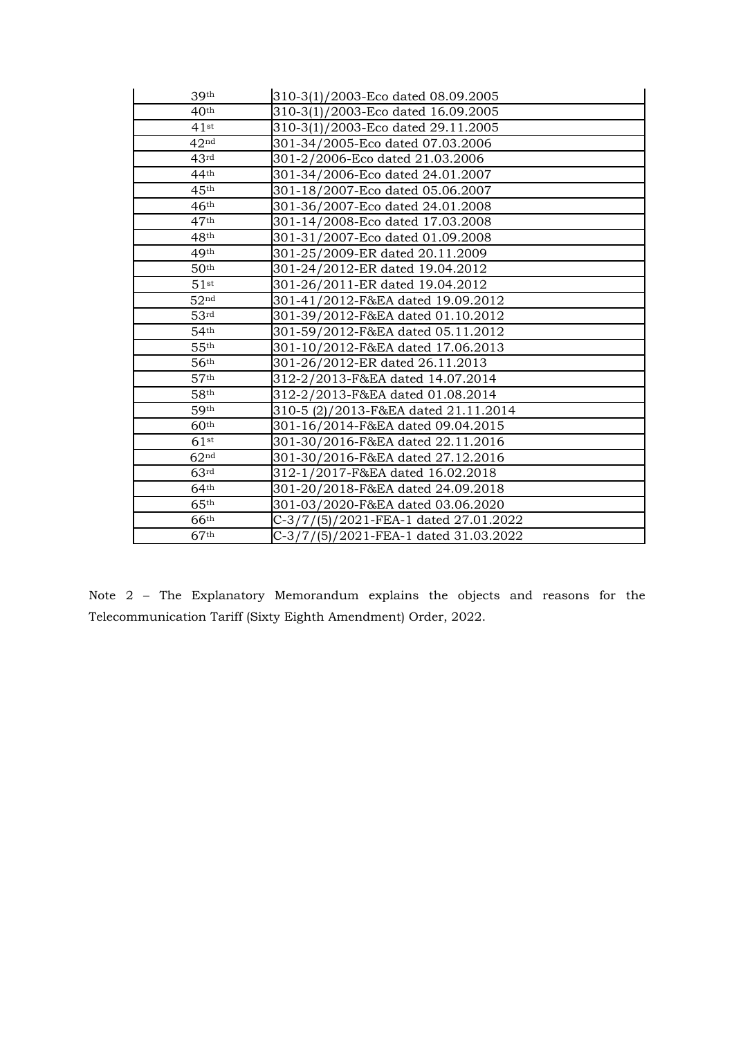| 39 <sup>th</sup>   | 310-3(1)/2003-Eco dated 08.09.2005    |
|--------------------|---------------------------------------|
| 40 <sup>th</sup>   | 310-3(1)/2003-Eco dated 16.09.2005    |
| 41st               | 310-3(1)/2003-Eco dated 29.11.2005    |
| 42 <sup>nd</sup>   | 301-34/2005-Eco dated 07.03.2006      |
| 43 <sup>rd</sup>   | 301-2/2006-Eco dated 21.03.2006       |
| 44 <sup>th</sup>   | 301-34/2006-Eco dated 24.01.2007      |
| 45 <sup>th</sup>   | 301-18/2007-Eco dated 05.06.2007      |
| 46 <sup>th</sup>   | 301-36/2007-Eco dated 24.01.2008      |
| 47 <sup>th</sup>   | 301-14/2008-Eco dated 17.03.2008      |
| 48 <sup>th</sup>   | 301-31/2007-Eco dated 01.09.2008      |
| 49 <sup>th</sup>   | 301-25/2009-ER dated 20.11.2009       |
| 50 <sup>th</sup>   | 301-24/2012-ER dated 19.04.2012       |
| $51$ st            | 301-26/2011-ER dated 19.04.2012       |
| 52 <sup>nd</sup>   | 301-41/2012-F&EA dated 19.09.2012     |
| 53 <sup>rd</sup>   | 301-39/2012-F&EA dated 01.10.2012     |
| 54 <sup>th</sup>   | 301-59/2012-F&EA dated 05.11.2012     |
| 55 <sup>th</sup>   | 301-10/2012-F&EA dated 17.06.2013     |
| 56 <sup>th</sup>   | 301-26/2012-ER dated 26.11.2013       |
| 57 <sup>th</sup>   | 312-2/2013-F&EA dated 14.07.2014      |
| 58 <sup>th</sup>   | 312-2/2013-F&EA dated 01.08.2014      |
| 59 <sup>th</sup>   | 310-5 (2)/2013-F&EA dated 21.11.2014  |
| 60 <sup>th</sup>   | 301-16/2014-F&EA dated 09.04.2015     |
| $61$ <sup>st</sup> | 301-30/2016-F&EA dated 22.11.2016     |
| 62 <sup>nd</sup>   | 301-30/2016-F&EA dated 27.12.2016     |
| 63 <sup>rd</sup>   | 312-1/2017-F&EA dated 16.02.2018      |
| 64 <sup>th</sup>   | 301-20/2018-F&EA dated 24.09.2018     |
| 65 <sup>th</sup>   | 301-03/2020-F&EA dated 03.06.2020     |
| 66 <sup>th</sup>   | C-3/7/(5)/2021-FEA-1 dated 27.01.2022 |
| 67 <sup>th</sup>   | C-3/7/(5)/2021-FEA-1 dated 31.03.2022 |

Note 2 – The Explanatory Memorandum explains the objects and reasons for the Telecommunication Tariff (Sixty Eighth Amendment) Order, 2022.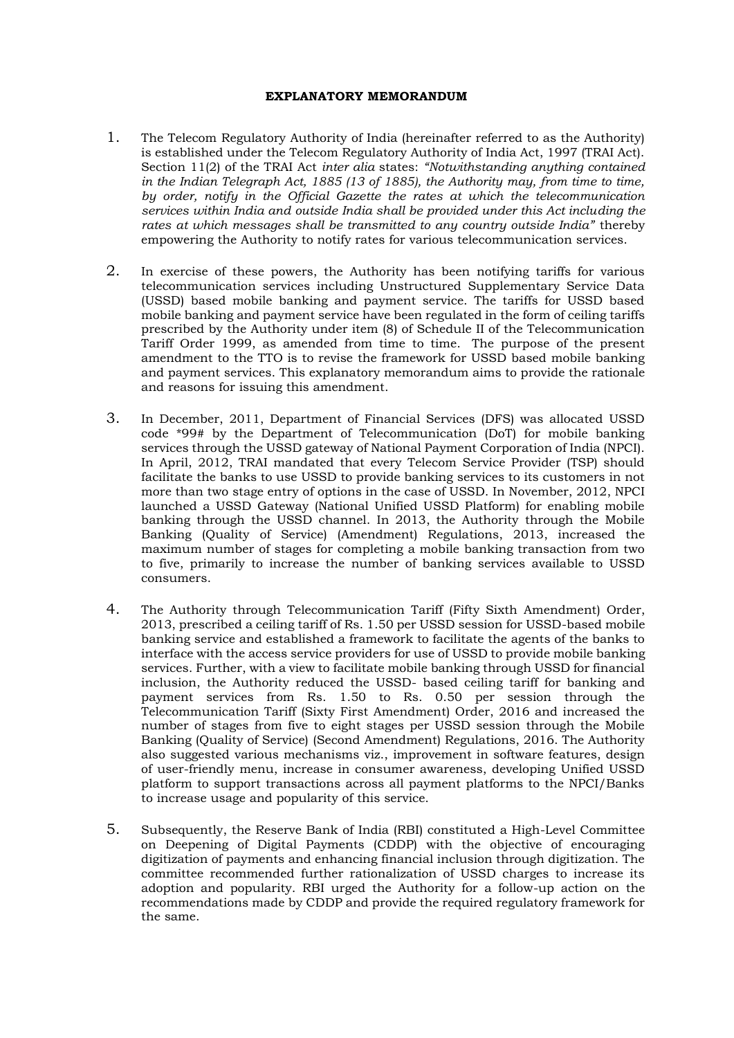#### **EXPLANATORY MEMORANDUM**

- 1. The Telecom Regulatory Authority of India (hereinafter referred to as the Authority) is established under the Telecom Regulatory Authority of India Act, 1997 (TRAI Act). Section 11(2) of the TRAI Act *inter alia* states: *"Notwithstanding anything contained in the Indian Telegraph Act, 1885 (13 of 1885), the Authority may, from time to time, by order, notify in the Official Gazette the rates at which the telecommunication services within India and outside India shall be provided under this Act including the rates at which messages shall be transmitted to any country outside India"* thereby empowering the Authority to notify rates for various telecommunication services.
- 2. In exercise of these powers, the Authority has been notifying tariffs for various telecommunication services including Unstructured Supplementary Service Data (USSD) based mobile banking and payment service. The tariffs for USSD based mobile banking and payment service have been regulated in the form of ceiling tariffs prescribed by the Authority under item (8) of Schedule II of the Telecommunication Tariff Order 1999, as amended from time to time. The purpose of the present amendment to the TTO is to revise the framework for USSD based mobile banking and payment services. This explanatory memorandum aims to provide the rationale and reasons for issuing this amendment.
- 3. In December, 2011, Department of Financial Services (DFS) was allocated USSD code \*99# by the Department of Telecommunication (DoT) for mobile banking services through the USSD gateway of National Payment Corporation of India (NPCI). In April, 2012, TRAI mandated that every Telecom Service Provider (TSP) should facilitate the banks to use USSD to provide banking services to its customers in not more than two stage entry of options in the case of USSD. In November, 2012, NPCI launched a USSD Gateway (National Unified USSD Platform) for enabling mobile banking through the USSD channel. In 2013, the Authority through the Mobile Banking (Quality of Service) (Amendment) Regulations, 2013, increased the maximum number of stages for completing a mobile banking transaction from two to five, primarily to increase the number of banking services available to USSD consumers.
- 4. The Authority through Telecommunication Tariff (Fifty Sixth Amendment) Order, 2013, prescribed a ceiling tariff of Rs. 1.50 per USSD session for USSD-based mobile banking service and established a framework to facilitate the agents of the banks to interface with the access service providers for use of USSD to provide mobile banking services. Further, with a view to facilitate mobile banking through USSD for financial inclusion, the Authority reduced the USSD- based ceiling tariff for banking and payment services from Rs. 1.50 to Rs. 0.50 per session through the Telecommunication Tariff (Sixty First Amendment) Order, 2016 and increased the number of stages from five to eight stages per USSD session through the Mobile Banking (Quality of Service) (Second Amendment) Regulations, 2016. The Authority also suggested various mechanisms viz., improvement in software features, design of user-friendly menu, increase in consumer awareness, developing Unified USSD platform to support transactions across all payment platforms to the NPCI/Banks to increase usage and popularity of this service.
- 5. Subsequently, the Reserve Bank of India (RBI) constituted a High-Level Committee on Deepening of Digital Payments (CDDP) with the objective of encouraging digitization of payments and enhancing financial inclusion through digitization. The committee recommended further rationalization of USSD charges to increase its adoption and popularity. RBI urged the Authority for a follow-up action on the recommendations made by CDDP and provide the required regulatory framework for the same.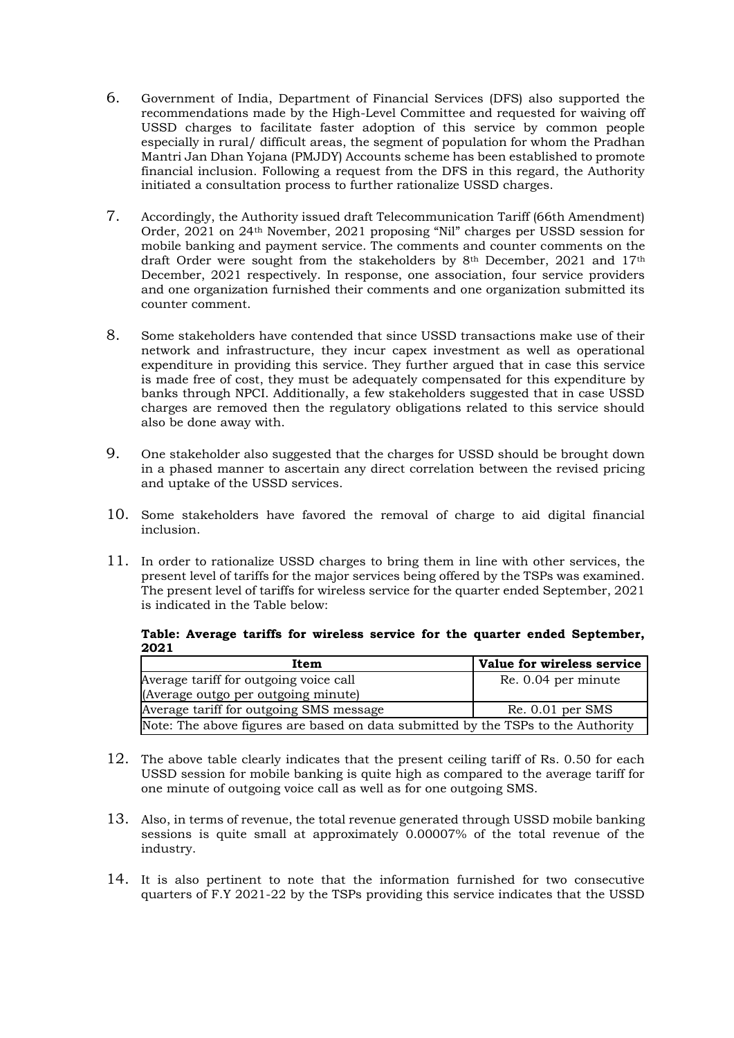- 6. Government of India, Department of Financial Services (DFS) also supported the recommendations made by the High-Level Committee and requested for waiving off USSD charges to facilitate faster adoption of this service by common people especially in rural/ difficult areas, the segment of population for whom the Pradhan Mantri Jan Dhan Yojana (PMJDY) Accounts scheme has been established to promote financial inclusion. Following a request from the DFS in this regard, the Authority initiated a consultation process to further rationalize USSD charges.
- 7. Accordingly, the Authority issued draft Telecommunication Tariff (66th Amendment) Order, 2021 on 24th November, 2021 proposing "Nil" charges per USSD session for mobile banking and payment service. The comments and counter comments on the draft Order were sought from the stakeholders by 8<sup>th</sup> December, 2021 and 17<sup>th</sup> December, 2021 respectively. In response, one association, four service providers and one organization furnished their comments and one organization submitted its counter comment.
- 8. Some stakeholders have contended that since USSD transactions make use of their network and infrastructure, they incur capex investment as well as operational expenditure in providing this service. They further argued that in case this service is made free of cost, they must be adequately compensated for this expenditure by banks through NPCI. Additionally, a few stakeholders suggested that in case USSD charges are removed then the regulatory obligations related to this service should also be done away with.
- 9. One stakeholder also suggested that the charges for USSD should be brought down in a phased manner to ascertain any direct correlation between the revised pricing and uptake of the USSD services.
- 10. Some stakeholders have favored the removal of charge to aid digital financial inclusion.
- 11. In order to rationalize USSD charges to bring them in line with other services, the present level of tariffs for the major services being offered by the TSPs was examined. The present level of tariffs for wireless service for the quarter ended September, 2021 is indicated in the Table below:

#### **Table: Average tariffs for wireless service for the quarter ended September, 2021**

| Item                                                                             | Value for wireless service |  |
|----------------------------------------------------------------------------------|----------------------------|--|
| Average tariff for outgoing voice call                                           | Re. 0.04 per minute        |  |
| (Average outgo per outgoing minute)                                              |                            |  |
| Average tariff for outgoing SMS message                                          | $Re. 0.01$ per SMS         |  |
| Note: The above figures are based on data submitted by the TSPs to the Authority |                            |  |

- 12. The above table clearly indicates that the present ceiling tariff of Rs. 0.50 for each USSD session for mobile banking is quite high as compared to the average tariff for one minute of outgoing voice call as well as for one outgoing SMS.
- 13. Also, in terms of revenue, the total revenue generated through USSD mobile banking sessions is quite small at approximately 0.00007% of the total revenue of the industry.
- 14. It is also pertinent to note that the information furnished for two consecutive quarters of F.Y 2021-22 by the TSPs providing this service indicates that the USSD